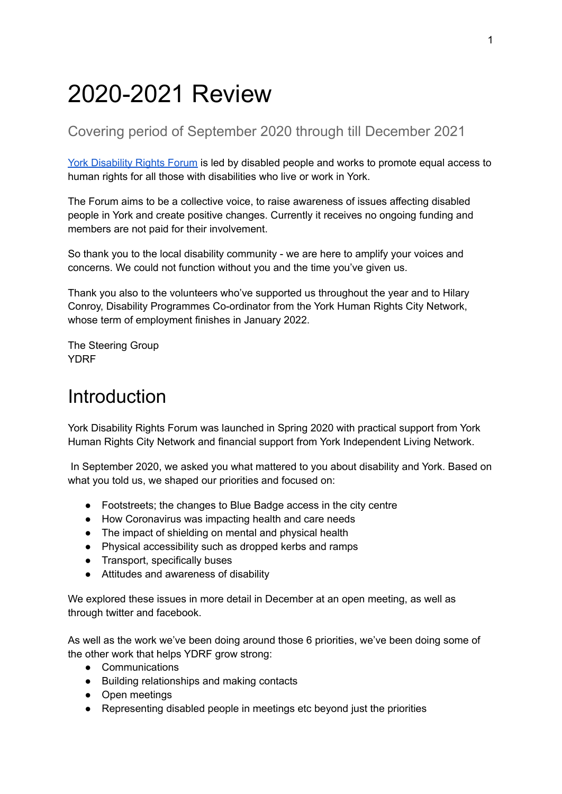# 2020-2021 Review

### Covering period of September 2020 through till December 2021

York [Disability](https://ydrf.org.uk/) Rights Forum is led by disabled people and works to promote equal access to human rights for all those with disabilities who live or work in York.

The Forum aims to be a collective voice, to raise awareness of issues affecting disabled people in York and create positive changes. Currently it receives no ongoing funding and members are not paid for their involvement.

So thank you to the local disability community - we are here to amplify your voices and concerns. We could not function without you and the time you've given us.

Thank you also to the volunteers who've supported us throughout the year and to Hilary Conroy, Disability Programmes Co-ordinator from the York Human Rights City Network, whose term of employment finishes in January 2022.

The Steering Group **YDRF** 

## <span id="page-0-0"></span>**Introduction**

York Disability Rights Forum was launched in Spring 2020 with practical support from York Human Rights City Network and financial support from York Independent Living Network.

In September 2020, we asked you what mattered to you about disability and York. Based on what you told us, we shaped our priorities and focused on:

- Footstreets; the changes to Blue Badge access in the city centre
- How Coronavirus was impacting health and care needs
- The impact of shielding on mental and physical health
- Physical accessibility such as dropped kerbs and ramps
- Transport, specifically buses
- Attitudes and awareness of disability

We explored these issues in more detail in December at an open meeting, as well as through twitter and facebook.

As well as the work we've been doing around those 6 priorities, we've been doing some of the other work that helps YDRF grow strong:

- Communications
- Building relationships and making contacts
- Open meetings
- Representing disabled people in meetings etc beyond just the priorities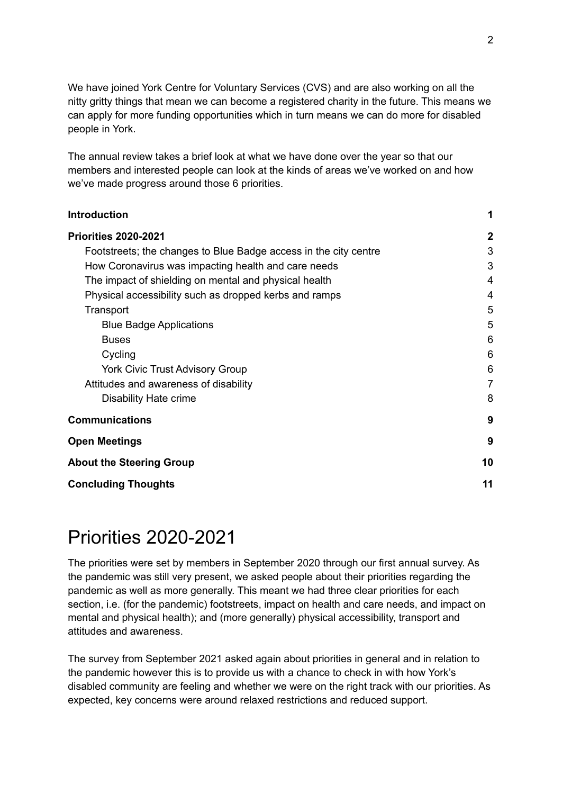We have joined York Centre for Voluntary Services (CVS) and are also working on all the nitty gritty things that mean we can become a registered charity in the future. This means we can apply for more funding opportunities which in turn means we can do more for disabled people in York.

The annual review takes a brief look at what we have done over the year so that our members and interested people can look at the kinds of areas we've worked on and how we've made progress around those 6 priorities.

| <b>Introduction</b>                                              | 1            |
|------------------------------------------------------------------|--------------|
| <b>Priorities 2020-2021</b>                                      | $\mathbf{2}$ |
| Footstreets; the changes to Blue Badge access in the city centre | 3            |
| How Coronavirus was impacting health and care needs              | 3            |
| The impact of shielding on mental and physical health            | 4            |
| Physical accessibility such as dropped kerbs and ramps           | 4            |
| Transport                                                        | 5            |
| <b>Blue Badge Applications</b>                                   | 5            |
| <b>Buses</b>                                                     | 6            |
| Cycling                                                          | 6            |
| <b>York Civic Trust Advisory Group</b>                           | 6            |
| Attitudes and awareness of disability                            | 7            |
| Disability Hate crime                                            | 8            |
| <b>Communications</b>                                            | 9            |
| <b>Open Meetings</b>                                             | 9            |
| <b>About the Steering Group</b>                                  | 10           |
| <b>Concluding Thoughts</b>                                       | 11           |

## <span id="page-1-0"></span>Priorities 2020-2021

The priorities were set by members in September 2020 through our first annual survey. As the pandemic was still very present, we asked people about their priorities regarding the pandemic as well as more generally. This meant we had three clear priorities for each section, i.e. (for the pandemic) footstreets, impact on health and care needs, and impact on mental and physical health); and (more generally) physical accessibility, transport and attitudes and awareness.

The survey from September 2021 asked again about priorities in general and in relation to the pandemic however this is to provide us with a chance to check in with how York's disabled community are feeling and whether we were on the right track with our priorities. As expected, key concerns were around relaxed restrictions and reduced support.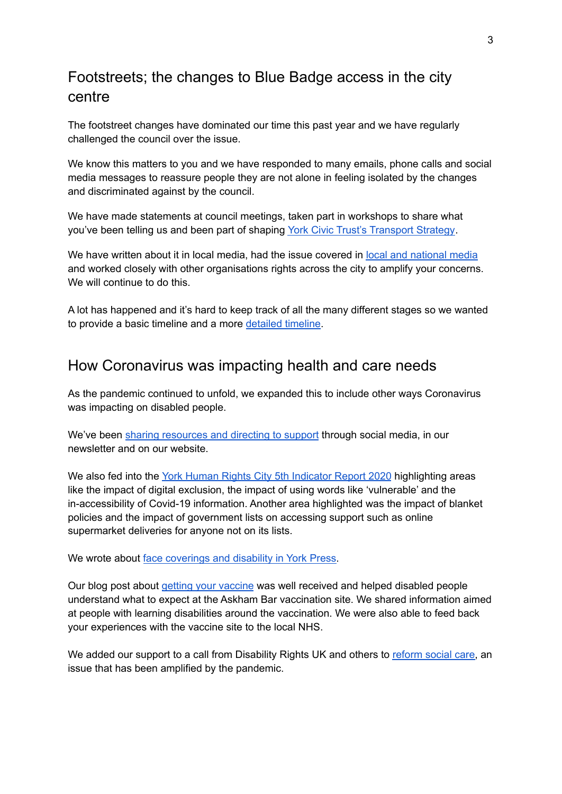## <span id="page-2-0"></span>Footstreets; the changes to Blue Badge access in the city centre

The footstreet changes have dominated our time this past year and we have regularly challenged the council over the issue.

We know this matters to you and we have responded to many emails, phone calls and social media messages to reassure people they are not alone in feeling isolated by the changes and discriminated against by the council.

We have made statements at council meetings, taken part in workshops to share what you've been telling us and been part of shaping York Civic Trust's [Transport](https://yorkcivictrust.co.uk/wp-content/uploads/2021/04/YCT-Public-Transport-strategy.pdf) Strategy.

We have written about it in local media, had the issue covered in local and [national](https://ydrf.org.uk/about/city-centre-access/city-centre-access-press-coverage/) media and worked closely with other organisations rights across the city to amplify your concerns. We will continue to do this.

A lot has happened and it's hard to keep track of all the many different stages so we wanted to provide a basic timeline and a more [detailed](https://my.visme.co/view/dmyogpqg-footstreets-timeline) timeline.

### <span id="page-2-1"></span>How Coronavirus was impacting health and care needs

As the pandemic continued to unfold, we expanded this to include other ways Coronavirus was impacting on disabled people.

We've been sharing [resources](https://ydrf.org.uk/2020/11/04/finding-covid-19-support/) and directing to support through social media, in our newsletter and on our website.

We also fed into the York Human Rights City 5th [Indicator](https://www.yorkhumanrights.org/current-work/human-rights-indicator-report/) Report 2020 highlighting areas like the impact of digital exclusion, the impact of using words like 'vulnerable' and the in-accessibility of Covid-19 information. Another area highlighted was the impact of blanket policies and the impact of government lists on accessing support such as online supermarket deliveries for anyone not on its lists.

We wrote about face [coverings](https://www.yorkpress.co.uk/news/18783468.dont-make-assumptions-people-not-wearing-masks/) and disability in York Press.

Our blog post about getting your [vaccine](https://ydrf.org.uk/2021/02/11/getting-a-covid-19-vaccination-in-york/) was well received and helped disabled people understand what to expect at the Askham Bar vaccination site. We shared information aimed at people with learning disabilities around the vaccination. We were also able to feed back your experiences with the vaccine site to the local NHS.

We added our support to a call from Disability Rights UK and others to [reform](https://www.disabilityrightsuk.org/news/2021/june/social-care-reform-improving-disabled-people%E2%80%99s-lives) social care, an issue that has been amplified by the pandemic.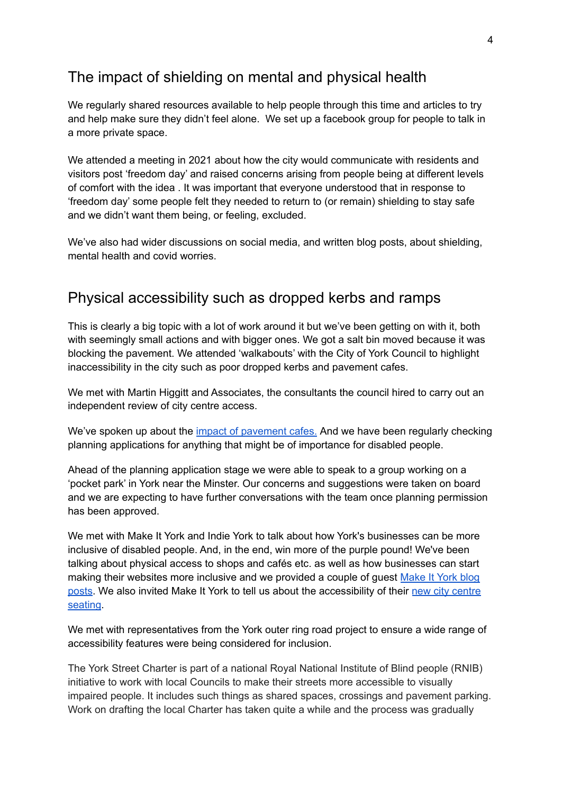### <span id="page-3-0"></span>The impact of shielding on mental and physical health

We regularly shared resources available to help people through this time and articles to try and help make sure they didn't feel alone. We set up a facebook group for people to talk in a more private space.

We attended a meeting in 2021 about how the city would communicate with residents and visitors post 'freedom day' and raised concerns arising from people being at different levels of comfort with the idea . It was important that everyone understood that in response to 'freedom day' some people felt they needed to return to (or remain) shielding to stay safe and we didn't want them being, or feeling, excluded.

We've also had wider discussions on social media, and written blog posts, about shielding, mental health and covid worries.

### <span id="page-3-1"></span>Physical accessibility such as dropped kerbs and ramps

This is clearly a big topic with a lot of work around it but we've been getting on with it, both with seemingly small actions and with bigger ones. We got a salt bin moved because it was blocking the pavement. We attended 'walkabouts' with the City of York Council to highlight inaccessibility in the city such as poor dropped kerbs and pavement cafes.

We met with Martin Higgitt and Associates, the consultants the council hired to carry out an independent review of city centre access.

We've spoken up about the impact of [pavement](https://ydrf.org.uk/2021/04/26/pavement-cafes-and-street-furniture-not-for-us/) cafes. And we have been regularly checking planning applications for anything that might be of importance for disabled people.

Ahead of the planning application stage we were able to speak to a group working on a 'pocket park' in York near the Minster. Our concerns and suggestions were taken on board and we are expecting to have further conversations with the team once planning permission has been approved.

We met with Make It York and Indie York to talk about how York's businesses can be more inclusive of disabled people. And, in the end, win more of the purple pound! We've been talking about physical access to shops and cafés etc. as well as how businesses can start making their websites more inclusive and we provided a couple of quest [Make](https://www.makeityork.com/blog/2021/05/unlock-the-purple-pound-with-your-online-shop-four-easy-steps-to-start/) It York blog [posts](https://www.makeityork.com/blog/2021/05/unlock-the-purple-pound-with-your-online-shop-four-easy-steps-to-start/). We also invited Make It York to tell us about the accessibility of their new city [centre](https://ydrf.org.uk/2021/04/16/guest-blog-outdoor-seating-plans-for-york-city-centre/) [seating](https://ydrf.org.uk/2021/04/16/guest-blog-outdoor-seating-plans-for-york-city-centre/).

We met with representatives from the York outer ring road project to ensure a wide range of accessibility features were being considered for inclusion.

The York Street Charter is part of a national Royal National Institute of Blind people (RNIB) initiative to work with local Councils to make their streets more accessible to visually impaired people. It includes such things as shared spaces, crossings and pavement parking. Work on drafting the local Charter has taken quite a while and the process was gradually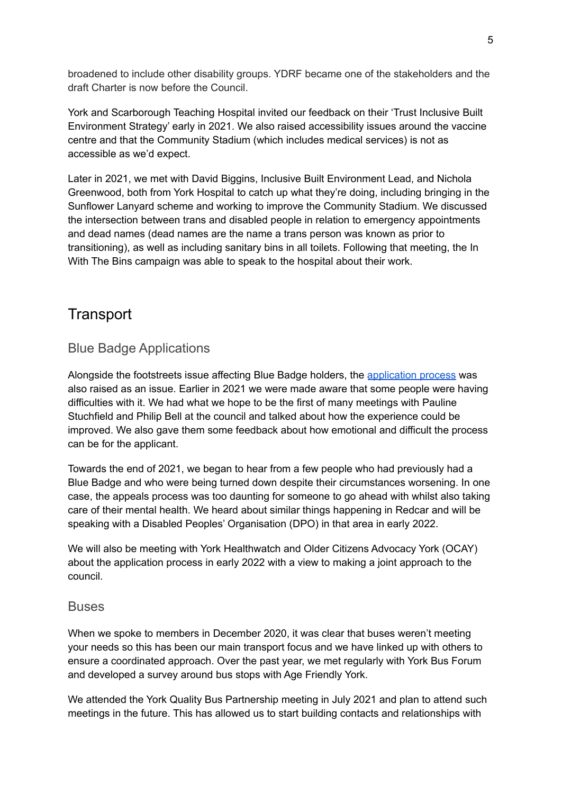broadened to include other disability groups. YDRF became one of the stakeholders and the draft Charter is now before the Council.

York and Scarborough Teaching Hospital invited our feedback on their 'Trust Inclusive Built Environment Strategy' early in 2021. We also raised accessibility issues around the vaccine centre and that the Community Stadium (which includes medical services) is not as accessible as we'd expect.

Later in 2021, we met with David Biggins, Inclusive Built Environment Lead, and Nichola Greenwood, both from York Hospital to catch up what they're doing, including bringing in the Sunflower Lanyard scheme and working to improve the Community Stadium. We discussed the intersection between trans and disabled people in relation to emergency appointments and dead names (dead names are the name a trans person was known as prior to transitioning), as well as including sanitary bins in all toilets. Following that meeting, the In With The Bins campaign was able to speak to the hospital about their work.

### <span id="page-4-0"></span>**Transport**

#### <span id="page-4-1"></span>Blue Badge Applications

Alongside the footstreets issue affecting Blue Badge holders, the [application](https://ydrf.org.uk/2021/04/09/blue-badge-application-assessments/) process was also raised as an issue. Earlier in 2021 we were made aware that some people were having difficulties with it. We had what we hope to be the first of many meetings with Pauline Stuchfield and Philip Bell at the council and talked about how the experience could be improved. We also gave them some feedback about how emotional and difficult the process can be for the applicant.

Towards the end of 2021, we began to hear from a few people who had previously had a Blue Badge and who were being turned down despite their circumstances worsening. In one case, the appeals process was too daunting for someone to go ahead with whilst also taking care of their mental health. We heard about similar things happening in Redcar and will be speaking with a Disabled Peoples' Organisation (DPO) in that area in early 2022.

We will also be meeting with York Healthwatch and Older Citizens Advocacy York (OCAY) about the application process in early 2022 with a view to making a joint approach to the council.

#### <span id="page-4-2"></span>Buses

When we spoke to members in December 2020, it was clear that buses weren't meeting your needs so this has been our main transport focus and we have linked up with others to ensure a coordinated approach. Over the past year, we met regularly with York Bus Forum and developed a survey around bus stops with Age Friendly York.

We attended the York Quality Bus Partnership meeting in July 2021 and plan to attend such meetings in the future. This has allowed us to start building contacts and relationships with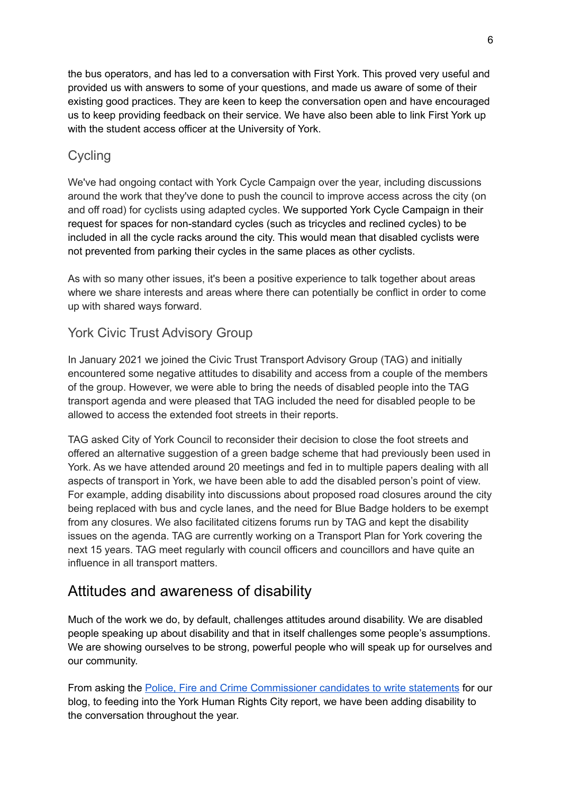the bus operators, and has led to a conversation with First York. This proved very useful and provided us with answers to some of your questions, and made us aware of some of their existing good practices. They are keen to keep the conversation open and have encouraged us to keep providing feedback on their service. We have also been able to link First York up with the student access officer at the University of York.

#### <span id="page-5-0"></span>**Cycling**

We've had ongoing contact with York Cycle Campaign over the year, including discussions around the work that they've done to push the council to improve access across the city (on and off road) for cyclists using adapted cycles. We supported York Cycle Campaign in their request for spaces for non-standard cycles (such as tricycles and reclined cycles) to be included in all the cycle racks around the city. This would mean that disabled cyclists were not prevented from parking their cycles in the same places as other cyclists.

As with so many other issues, it's been a positive experience to talk together about areas where we share interests and areas where there can potentially be conflict in order to come up with shared ways forward.

#### <span id="page-5-1"></span>York Civic Trust Advisory Group

In January 2021 we joined the Civic Trust Transport Advisory Group (TAG) and initially encountered some negative attitudes to disability and access from a couple of the members of the group. However, we were able to bring the needs of disabled people into the TAG transport agenda and were pleased that TAG included the need for disabled people to be allowed to access the extended foot streets in their reports.

TAG asked City of York Council to reconsider their decision to close the foot streets and offered an alternative suggestion of a green badge scheme that had previously been used in York. As we have attended around 20 meetings and fed in to multiple papers dealing with all aspects of transport in York, we have been able to add the disabled person's point of view. For example, adding disability into discussions about proposed road closures around the city being replaced with bus and cycle lanes, and the need for Blue Badge holders to be exempt from any closures. We also facilitated citizens forums run by TAG and kept the disability issues on the agenda. TAG are currently working on a Transport Plan for York covering the next 15 years. TAG meet regularly with council officers and councillors and have quite an influence in all transport matters.

### <span id="page-5-2"></span>Attitudes and awareness of disability

Much of the work we do, by default, challenges attitudes around disability. We are disabled people speaking up about disability and that in itself challenges some people's assumptions. We are showing ourselves to be strong, powerful people who will speak up for ourselves and our community.

From asking the Police, Fire and Crime [Commissioner](https://ydrf.org.uk/2021/04/19/dear-police-fire-and-crime-commissioner-are-you-working-for-us-too/) candidates to write statements for our blog, to feeding into the York Human Rights City report, we have been adding disability to the conversation throughout the year.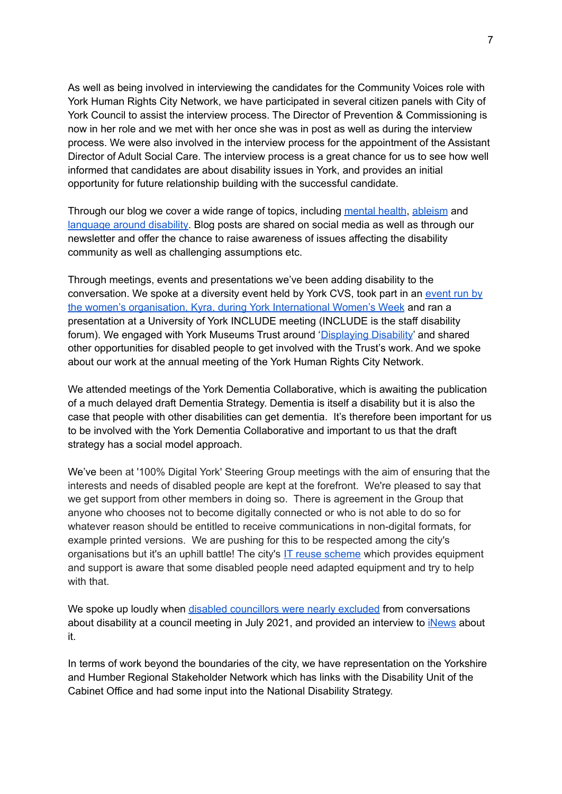As well as being involved in interviewing the candidates for the Community Voices role with York Human Rights City Network, we have participated in several citizen panels with City of York Council to assist the interview process. The Director of Prevention & Commissioning is now in her role and we met with her once she was in post as well as during the interview process. We were also involved in the interview process for the appointment of the Assistant Director of Adult Social Care. The interview process is a great chance for us to see how well informed that candidates are about disability issues in York, and provides an initial opportunity for future relationship building with the successful candidate.

Through our blog we cover a wide range of topics, including [mental](https://ydrf.org.uk/2021/05/10/mental-health-awareness-week/) health, [ableism](https://ydrf.org.uk/2020/11/15/what-is-ableism-and-why-does-it-matter/) and [language](https://ydrf.org.uk/2021/02/03/what-should-i-call-you/) around disability. Blog posts are shared on social media as well as through our newsletter and offer the chance to raise awareness of issues affecting the disability community as well as challenging assumptions etc.

Through meetings, events and presentations we've been adding disability to the conversation. We spoke at a diversity event held by York CVS, took part in an [event](https://ydrf.org.uk/2021/03/09/were-at-york-international-womens-week/) run by the women's [organisation,](https://ydrf.org.uk/2021/03/09/were-at-york-international-womens-week/) Kyra, during York International Women's Week and ran a presentation at a University of York INCLUDE meeting (INCLUDE is the staff disability forum). We engaged with York Museums Trust around ['Displaying](https://www.yorkmuseumstrust.org.uk/blog/museums-displaying-disability/) Disability' and shared other opportunities for disabled people to get involved with the Trust's work. And we spoke about our work at the annual meeting of the York Human Rights City Network.

We attended meetings of the York Dementia Collaborative, which is awaiting the publication of a much delayed draft Dementia Strategy. Dementia is itself a disability but it is also the case that people with other disabilities can get dementia. It's therefore been important for us to be involved with the York Dementia Collaborative and important to us that the draft strategy has a social model approach.

We've been at '100% Digital York' Steering Group meetings with the aim of ensuring that the interests and needs of disabled people are kept at the forefront. We're pleased to say that we get support from other members in doing so. There is agreement in the Group that anyone who chooses not to become digitally connected or who is not able to do so for whatever reason should be entitled to receive communications in non-digital formats, for example printed versions. We are pushing for this to be respected among the city's organisations but it's an uphill battle! The city's IT reuse [scheme](https://ydrf.org.uk/2020/12/22/give-your-old-devices-a-new-home-this-christmas/) which provides equipment and support is aware that some disabled people need adapted equipment and try to help with that.

We spoke up loudly when disabled [councillors](https://ydrf.org.uk/2021/07/16/disabled-councillers-face-discrimination-from-city-of-york-council/) were nearly excluded from conversations about disability at a council meeting in July 2021, and provided an interview to *[iNews](https://inews.co.uk/news/politics/disabled-councillors-blocked-from-accessibility-vote-because-they-are-disabled-1107366)* about it.

In terms of work beyond the boundaries of the city, we have representation on the Yorkshire and Humber Regional Stakeholder Network which has links with the Disability Unit of the Cabinet Office and had some input into the National Disability Strategy.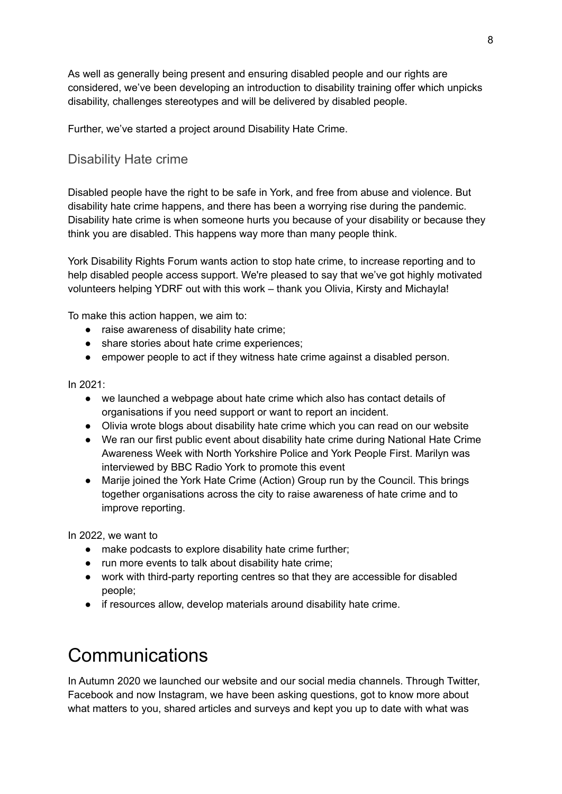As well as generally being present and ensuring disabled people and our rights are considered, we've been developing an introduction to disability training offer which unpicks disability, challenges stereotypes and will be delivered by disabled people.

<span id="page-7-0"></span>Further, we've started a project around Disability Hate Crime.

#### Disability Hate crime

Disabled people have the right to be safe in York, and free from abuse and violence. But disability hate crime happens, and there has been a worrying rise during the pandemic. Disability hate crime is when someone hurts you because of your disability or because they think you are disabled. This happens way more than many people think.

York Disability Rights Forum wants action to stop hate crime, to increase reporting and to help disabled people access support. We're pleased to say that we've got highly motivated volunteers helping YDRF out with this work – thank you Olivia, Kirsty and Michayla!

To make this action happen, we aim to:

- raise awareness of disability hate crime;
- share stories about hate crime experiences;
- empower people to act if they witness hate crime against a disabled person.

In 2021:

- we launched a webpage about hate crime which also has contact details of organisations if you need support or want to report an incident.
- Olivia wrote blogs about disability hate crime which you can read on our website
- We ran our first public event about disability hate crime during National Hate Crime Awareness Week with North Yorkshire Police and York People First. Marilyn was interviewed by BBC Radio York to promote this event
- Marije joined the York Hate Crime (Action) Group run by the Council. This brings together organisations across the city to raise awareness of hate crime and to improve reporting.

In 2022, we want to

- make podcasts to explore disability hate crime further;
- run more events to talk about disability hate crime;
- work with third-party reporting centres so that they are accessible for disabled people;
- if resources allow, develop materials around disability hate crime.

## <span id="page-7-1"></span>Communications

In Autumn 2020 we launched our website and our social media channels. Through Twitter, Facebook and now Instagram, we have been asking questions, got to know more about what matters to you, shared articles and surveys and kept you up to date with what was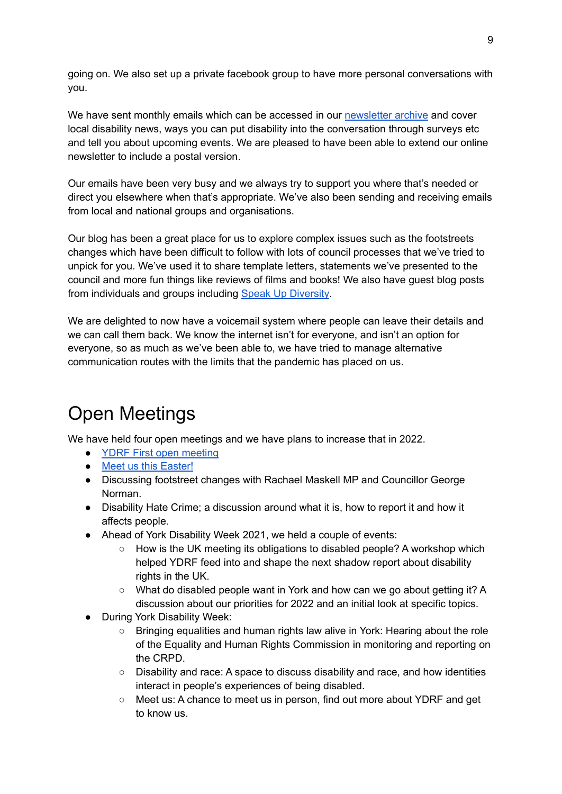going on. We also set up a private facebook group to have more personal conversations with you.

We have sent monthly emails which can be accessed in our [newsletter](https://us2.campaign-archive.com/home/?u=be0ca7c6c902daffe2cededa3&id=9b472cc3fb) archive and cover local disability news, ways you can put disability into the conversation through surveys etc and tell you about upcoming events. We are pleased to have been able to extend our online newsletter to include a postal version.

Our emails have been very busy and we always try to support you where that's needed or direct you elsewhere when that's appropriate. We've also been sending and receiving emails from local and national groups and organisations.

Our blog has been a great place for us to explore complex issues such as the footstreets changes which have been difficult to follow with lots of council processes that we've tried to unpick for you. We've used it to share template letters, statements we've presented to the council and more fun things like reviews of films and books! We also have guest blog posts from individuals and groups including Speak Up [Diversity](https://ydrf.org.uk/2021/06/16/york-to-become-an-anti-racist-and-inclusive-city/).

We are delighted to now have a voicemail system where people can leave their details and we can call them back. We know the internet isn't for everyone, and isn't an option for everyone, so as much as we've been able to, we have tried to manage alternative communication routes with the limits that the pandemic has placed on us.

## <span id="page-8-0"></span>Open Meetings

We have held four open meetings and we have plans to increase that in 2022.

- YDRF First open [meeting](https://www.youtube.com/watch?v=fDd43QP8guU)
- Meet us this [Easter!](https://ydrf.org.uk/2021/03/26/chat-with-us/)
- Discussing footstreet changes with Rachael Maskell MP and Councillor George Norman.
- Disability Hate Crime; a discussion around what it is, how to report it and how it affects people.
- Ahead of York Disability Week 2021, we held a couple of events:
	- How is the UK meeting its obligations to disabled people? A workshop which helped YDRF feed into and shape the next shadow report about disability rights in the UK.
	- What do disabled people want in York and how can we go about getting it? A discussion about our priorities for 2022 and an initial look at specific topics.
- **During York Disability Week:** 
	- Bringing equalities and human rights law alive in York: Hearing about the role of the Equality and Human Rights Commission in monitoring and reporting on the CRPD.
	- Disability and race: A space to discuss disability and race, and how identities interact in people's experiences of being disabled.
	- Meet us: A chance to meet us in person, find out more about YDRF and get to know us.